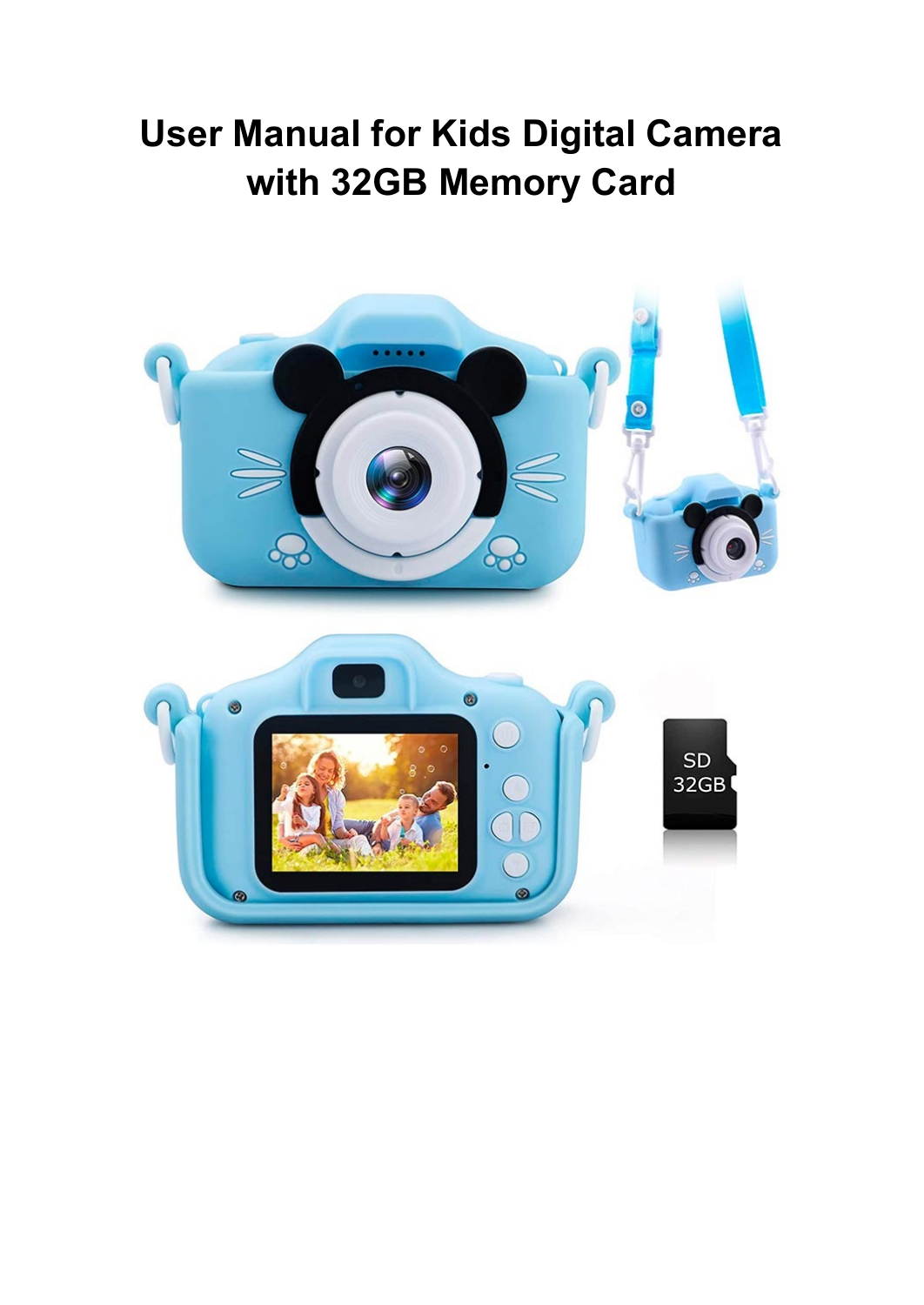## **User Manual for Kids Digital Camera with 32GB Memory Card**

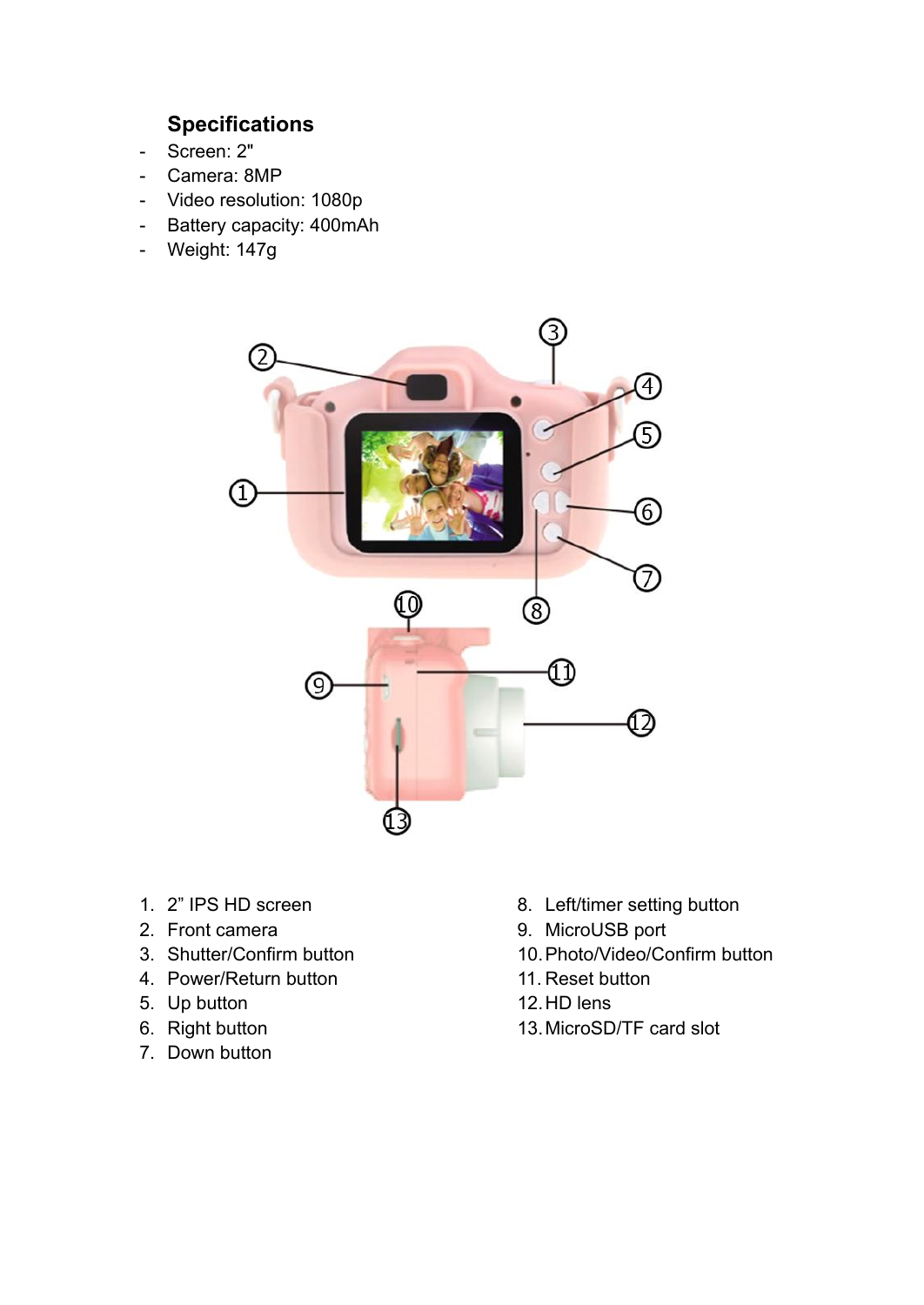## **Specifications**

- Screen: 2"
- Camera: 8MP
- Video resolution: 1080p
- Battery capacity: 400mAh
- Weight: 147g



- 1. 2" IPS HD screen
- 2. Front camera
- 3. Shutter/Confirm button
- 4. Power/Return button
- 5. Up button
- 6. Right button
- 7. Down button
- 8. Left/timer setting button
- 9. MicroUSB port
- 10.Photo/Video/Confirm button
- 11. Reset button
- 12.HD lens
- 13.MicroSD/TF card slot